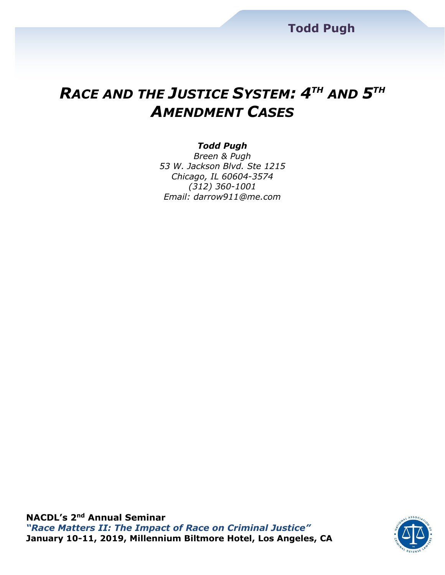# *RACE AND THE JUSTICE SYSTEM: 4 TH AND 5 TH AMENDMENT CASES*

### *Todd Pugh*

*Breen & Pugh 53 W. Jackson Blvd. Ste 1215 Chicago, IL 60604-3574 (312) 360-1001 Email: darrow911@me.com*

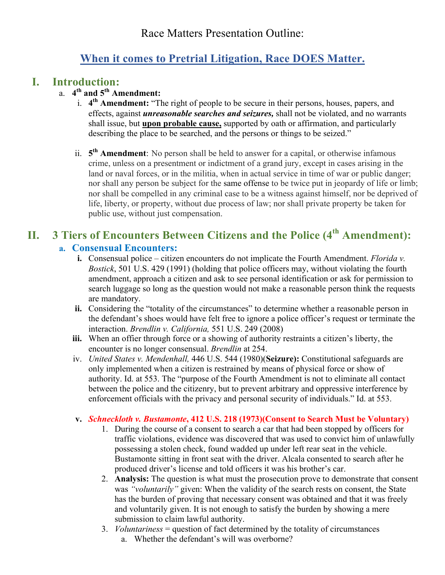Race Matters Presentation Outline:

# **When it comes to Pretrial Litigation, Race DOES Matter.**

# **I. Introduction:**

# a. **4th and 5th Amendment:**

- i. **4th Amendment:** "The right of people to be secure in their persons, houses, papers, and effects, against *unreasonable searches and seizures,* shall not be violated, and no warrants shall issue, but **upon probable cause,** supported by oath or affirmation, and particularly describing the place to be searched, and the persons or things to be seized."
- ii. **5th Amendment**: No person shall be held to answer for a capital, or otherwise infamous crime, unless on a presentment or indictment of a grand jury, except in cases arising in the land or naval forces, or in the militia, when in actual service in time of war or public danger; nor shall any person be subject for the same offense to be twice put in jeopardy of life or limb; nor shall be compelled in any criminal case to be a witness against himself, nor be deprived of life, liberty, or property, without due process of law; nor shall private property be taken for public use, without just compensation.

# **II. 3 Tiers of Encounters Between Citizens and the Police (4th Amendment): a. Consensual Encounters:**

- **i.** Consensual police citizen encounters do not implicate the Fourth Amendment. *Florida v. Bostick*, 501 U.S. 429 (1991) (holding that police officers may, without violating the fourth amendment, approach a citizen and ask to see personal identification or ask for permission to search luggage so long as the question would not make a reasonable person think the requests are mandatory.
- **ii.** Considering the "totality of the circumstances" to determine whether a reasonable person in the defendant's shoes would have felt free to ignore a police officer's request or terminate the interaction. *Brendlin v. California,* 551 U.S. 249 (2008)
- **iii.** When an offier through force or a showing of authority restraints a citizen's liberty, the encounter is no longer consensual. *Brendlin* at 254.
- iv. *United States v. Mendenhall,* 446 U.S. 544 (1980)(**Seizure):** Constitutional safeguards are only implemented when a citizen is restrained by means of physical force or show of authority. Id. at 553. The "purpose of the Fourth Amendment is not to eliminate all contact between the police and the citizenry, but to prevent arbitrary and oppressive interference by enforcement officials with the privacy and personal security of individuals." Id. at 553.

### **v.** *Schneckloth v. Bustamonte***, 412 U.S. 218 (1973)(Consent to Search Must be Voluntary)**

- 1. During the course of a consent to search a car that had been stopped by officers for traffic violations, evidence was discovered that was used to convict him of unlawfully possessing a stolen check, found wadded up under left rear seat in the vehicle. Bustamonte sitting in front seat with the driver. Alcala consented to search after he produced driver's license and told officers it was his brother's car.
- 2. **Analysis:** The question is what must the prosecution prove to demonstrate that consent was *"voluntarily"* given: When the validity of the search rests on consent, the State has the burden of proving that necessary consent was obtained and that it was freely and voluntarily given. It is not enough to satisfy the burden by showing a mere submission to claim lawful authority.
- 3. *Voluntariness* = question of fact determined by the totality of circumstances a. Whether the defendant's will was overborne?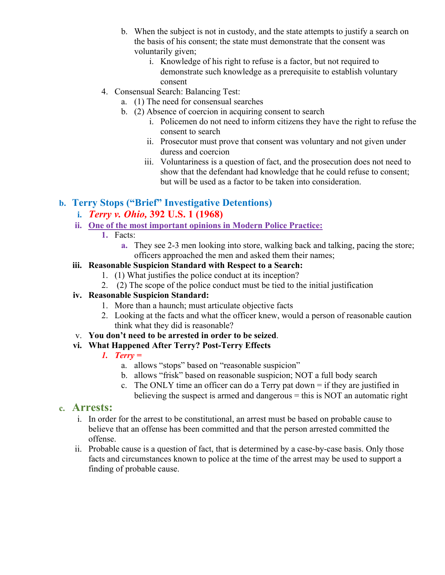- b. When the subject is not in custody, and the state attempts to justify a search on the basis of his consent; the state must demonstrate that the consent was voluntarily given;
	- i. Knowledge of his right to refuse is a factor, but not required to demonstrate such knowledge as a prerequisite to establish voluntary consent
- 4. Consensual Search: Balancing Test:
	- a. (1) The need for consensual searches
	- b. (2) Absence of coercion in acquiring consent to search
		- i. Policemen do not need to inform citizens they have the right to refuse the consent to search
		- ii. Prosecutor must prove that consent was voluntary and not given under duress and coercion
		- iii. Voluntariness is a question of fact, and the prosecution does not need to show that the defendant had knowledge that he could refuse to consent; but will be used as a factor to be taken into consideration.

### **b. Terry Stops ("Brief" Investigative Detentions)**

- **i.** *Terry v. Ohio,* **392 U.S. 1 (1968)**
- **ii. One of the most important opinions in Modern Police Practice:**
	- **1.** Facts:
		- **a.** They see 2-3 men looking into store, walking back and talking, pacing the store; officers approached the men and asked them their names;

### **iii. Reasonable Suspicion Standard with Respect to a Search:**

- 1. (1) What justifies the police conduct at its inception?
- 2. (2) The scope of the police conduct must be tied to the initial justification

### **iv. Reasonable Suspicion Standard:**

- 1. More than a haunch; must articulate objective facts
- 2. Looking at the facts and what the officer knew, would a person of reasonable caution think what they did is reasonable?
- v. **You don't need to be arrested in order to be seized**.

### **vi. What Happened After Terry? Post-Terry Effects**

#### *1. Terry =*

- a. allows "stops" based on "reasonable suspicion"
- b. allows "frisk" based on reasonable suspicion; NOT a full body search
- c. The ONLY time an officer can do a Terry pat down = if they are justified in believing the suspect is armed and dangerous = this is NOT an automatic right

### **c. Arrests:**

- i. In order for the arrest to be constitutional, an arrest must be based on probable cause to believe that an offense has been committed and that the person arrested committed the offense.
- ii. Probable cause is a question of fact, that is determined by a case-by-case basis. Only those facts and circumstances known to police at the time of the arrest may be used to support a finding of probable cause.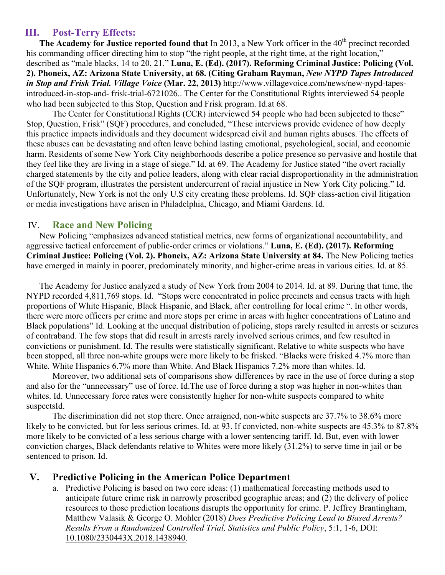### **III. Post-Terry Effects:**

The Academy for Justice reported found that In 2013, a New York officer in the 40<sup>th</sup> precinct recorded his commanding officer directing him to stop "the right people, at the right time, at the right location," described as "male blacks, 14 to 20, 21." **Luna, E. (Ed). (2017). Reforming Criminal Justice: Policing (Vol. 2). Phoneix, AZ: Arizona State University, at 68. (Citing Graham Rayman,** *New NYPD Tapes Introduced in Stop and Frisk Trial. Village Voice* **(Mar. 22, 2013)** http://www.villagevoice.com/news/new-nypd-tapesintroduced-in-stop-and frisk-trial-6721026.. The Center for the Constitutional Rights interviewed 54 people who had been subjected to this Stop, Question and Frisk program. Id.at 68.

The Center for Constitutional Rights (CCR) interviewed 54 people who had been subjected to these" Stop, Question, Frisk" (SQF) procedures, and concluded, "These interviews provide evidence of how deeply this practice impacts individuals and they document widespread civil and human rights abuses. The effects of these abuses can be devastating and often leave behind lasting emotional, psychological, social, and economic harm. Residents of some New York City neighborhoods describe a police presence so pervasive and hostile that they feel like they are living in a stage of siege." Id. at 69. The Academy for Justice stated "the overt racially charged statements by the city and police leaders, along with clear racial disproportionality in the administration of the SQF program, illustrates the persistent undercurrent of racial injustice in New York City policing." Id. Unfortunately, New York is not the only U.S city creating these problems. Id. SQF class-action civil litigation or media investigations have arisen in Philadelphia, Chicago, and Miami Gardens. Id.

### IV. **Race and New Policing**

New Policing "emphasizes advanced statistical metrics, new forms of organizational accountability, and aggressive tactical enforcement of public-order crimes or violations." **Luna, E. (Ed). (2017). Reforming Criminal Justice: Policing (Vol. 2). Phoneix, AZ: Arizona State University at 84.** The New Policing tactics have emerged in mainly in poorer, predominately minority, and higher-crime areas in various cities. Id. at 85.

The Academy for Justice analyzed a study of New York from 2004 to 2014. Id. at 89. During that time, the NYPD recorded 4,811,769 stops. Id. "Stops were concentrated in police precincts and census tracts with high proportions of White Hispanic, Black Hispanic, and Black, after controlling for local crime ". In other words, there were more officers per crime and more stops per crime in areas with higher concentrations of Latino and Black populations" Id. Looking at the unequal distribution of policing, stops rarely resulted in arrests or seizures of contraband. The few stops that did result in arrests rarely involved serious crimes, and few resulted in convictions or punishment. Id. The results were statistically significant. Relative to white suspects who have been stopped, all three non-white groups were more likely to be frisked. "Blacks were frisked 4.7% more than White. White Hispanics 6.7% more than White. And Black Hispanics 7.2% more than whites. Id.

Moreover, two additional sets of comparisons show differences by race in the use of force during a stop and also for the "unnecessary" use of force. Id.The use of force during a stop was higher in non-whites than whites. Id. Unnecessary force rates were consistently higher for non-white suspects compared to white suspectsId.

The discrimination did not stop there. Once arraigned, non-white suspects are 37.7% to 38.6% more likely to be convicted, but for less serious crimes. Id. at 93. If convicted, non-white suspects are 45.3% to 87.8% more likely to be convicted of a less serious charge with a lower sentencing tariff. Id. But, even with lower conviction charges, Black defendants relative to Whites were more likely (31.2%) to serve time in jail or be sentenced to prison. Id.

### **V. Predictive Policing in the American Police Department**

a. Predictive Policing is based on two core ideas: (1) mathematical forecasting methods used to anticipate future crime risk in narrowly proscribed geographic areas; and (2) the delivery of police resources to those prediction locations disrupts the opportunity for crime. P. Jeffrey Brantingham, Matthew Valasik & George O. Mohler (2018) *Does Predictive Policing Lead to Biased Arrests? Results From a Randomized Controlled Trial, Statistics and Public Policy*, 5:1, 1-6, DOI: 10.1080/2330443X.2018.1438940.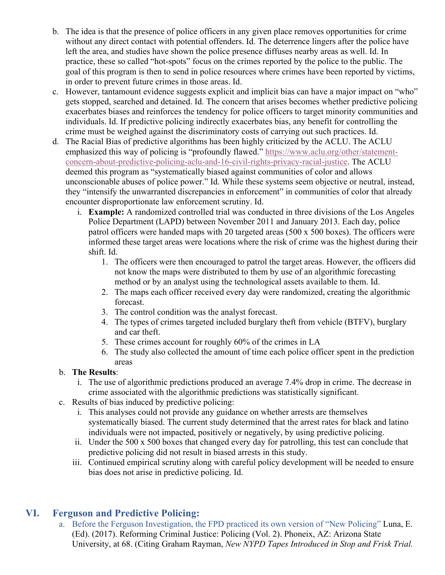- b. The idea is that the presence of police officers in any given place removes opportunities for crime without any direct contact with potential offenders. Id. The deterrence lingers after the police have left the area, and studies have shown the police presence diffuses nearby areas as well. Id. In practice, these so called "hot-spots" focus on the crimes reported by the police to the public. The goal of this program is then to send in police resources where crimes have been reported by victims, in order to prevent future crimes in those areas. Id.
- c. However, tantamount evidence suggests explicit and implicit bias can have a major impact on "who" gets stopped, searched and detained. Id. The concern that arises becomes whether predictive policing exacerbates biases and reinforces the tendency for police officers to target minority communities and individuals. Id. If predictive policing indirectly exacerbates bias, any benefit for controlling the crime must be weighed against the discriminatory costs of carrying out such practices. Id.
- d. The Racial Bias of predictive algorithms has been highly criticized by the ACLU. The ACLU emphasized this way of policing is "profoundly flawed." https://www.aclu.org/other/statementconcern-about-predictive-policing-aclu-and-16-civil-rights-privacy-racial-justice. The ACLU deemed this program as "systematically biased against communities of color and allows unconscionable abuses of police power." Id. While these systems seem objective or neutral, instead, they "intensify the unwarranted discrepancies in enforcement" in communities of color that already encounter disproportionate law enforcement scrutiny. Id.
	- i. **Example:** A randomized controlled trial was conducted in three divisions of the Los Angeles Police Department (LAPD) between November 2011 and January 2013. Each day, police patrol officers were handed maps with 20 targeted areas (500 x 500 boxes). The officers were informed these target areas were locations where the risk of crime was the highest during their shift. Id.
		- 1. The officers were then encouraged to patrol the target areas. However, the officers did not know the maps were distributed to them by use of an algorithmic forecasting method or by an analyst using the technological assets available to them. Id.
		- 2. The maps each officer received every day were randomized, creating the algorithmic forecast.
		- 3. The control condition was the analyst forecast.
		- 4. The types of crimes targeted included burglary theft from vehicle (BTFV), burglary and car theft.
		- 5. These crimes account for roughly 60% of the crimes in LA
		- 6. The study also collected the amount of time each police officer spent in the prediction areas

### b. **The Results**:

- i. The use of algorithmic predictions produced an average 7.4% drop in crime. The decrease in crime associated with the algorithmic predictions was statistically significant.
- c. Results of bias induced by predictive policing:
	- i. This analyses could not provide any guidance on whether arrests are themselves systematically biased. The current study determined that the arrest rates for black and latino individuals were not impacted, positively or negatively, by using predictive policing.
	- ii. Under the 500 x 500 boxes that changed every day for patrolling, this test can conclude that predictive policing did not result in biased arrests in this study.
	- iii. Continued empirical scrutiny along with careful policy development will be needed to ensure bias does not arise in predictive policing. Id.

### **VI. Ferguson and Predictive Policing:**

a. Before the Ferguson Investigation, the FPD practiced its own version of "New Policing" Luna, E. (Ed). (2017). Reforming Criminal Justice: Policing (Vol. 2). Phoneix, AZ: Arizona State University, at 68. (Citing Graham Rayman, *New NYPD Tapes Introduced in Stop and Frisk Trial.*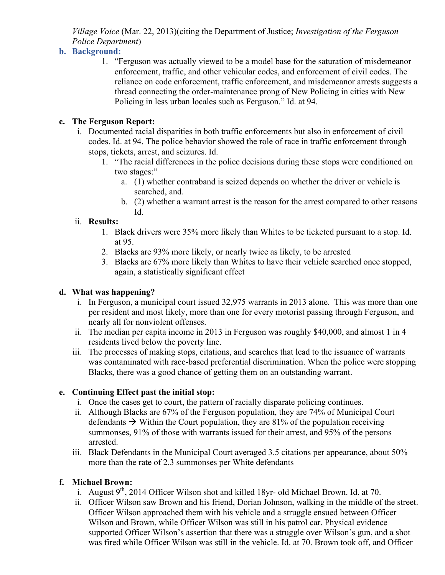*Village Voice* (Mar. 22, 2013)(citing the Department of Justice; *Investigation of the Ferguson Police Department*)

### **b. Background:**

1. "Ferguson was actually viewed to be a model base for the saturation of misdemeanor enforcement, traffic, and other vehicular codes, and enforcement of civil codes. The reliance on code enforcement, traffic enforcement, and misdemeanor arrests suggests a thread connecting the order-maintenance prong of New Policing in cities with New Policing in less urban locales such as Ferguson." Id. at 94.

#### **c. The Ferguson Report:**

- i. Documented racial disparities in both traffic enforcements but also in enforcement of civil codes. Id. at 94. The police behavior showed the role of race in traffic enforcement through stops, tickets, arrest, and seizures. Id.
	- 1. "The racial differences in the police decisions during these stops were conditioned on two stages:"
		- a. (1) whether contraband is seized depends on whether the driver or vehicle is searched, and.
		- b. (2) whether a warrant arrest is the reason for the arrest compared to other reasons Id.

### ii. **Results:**

- 1. Black drivers were 35% more likely than Whites to be ticketed pursuant to a stop. Id. at 95.
- 2. Blacks are 93% more likely, or nearly twice as likely, to be arrested
- 3. Blacks are 67% more likely than Whites to have their vehicle searched once stopped, again, a statistically significant effect

### **d. What was happening?**

- i. In Ferguson, a municipal court issued 32,975 warrants in 2013 alone. This was more than one per resident and most likely, more than one for every motorist passing through Ferguson, and nearly all for nonviolent offenses.
- ii. The median per capita income in 2013 in Ferguson was roughly \$40,000, and almost 1 in 4 residents lived below the poverty line.
- iii. The processes of making stops, citations, and searches that lead to the issuance of warrants was contaminated with race-based preferential discrimination. When the police were stopping Blacks, there was a good chance of getting them on an outstanding warrant.

### **e. Continuing Effect past the initial stop:**

- i. Once the cases get to court, the pattern of racially disparate policing continues.
- ii. Although Blacks are 67% of the Ferguson population, they are 74% of Municipal Court defendants  $\rightarrow$  Within the Court population, they are 81% of the population receiving summonses, 91% of those with warrants issued for their arrest, and 95% of the persons arrested.
- iii. Black Defendants in the Municipal Court averaged 3.5 citations per appearance, about 50% more than the rate of 2.3 summonses per White defendants

### **f. Michael Brown:**

- i. August  $9<sup>th</sup>$ , 2014 Officer Wilson shot and killed 18yr- old Michael Brown. Id. at 70.
- ii. Officer Wilson saw Brown and his friend, Dorian Johnson, walking in the middle of the street. Officer Wilson approached them with his vehicle and a struggle ensued between Officer Wilson and Brown, while Officer Wilson was still in his patrol car. Physical evidence supported Officer Wilson's assertion that there was a struggle over Wilson's gun, and a shot was fired while Officer Wilson was still in the vehicle. Id. at 70. Brown took off, and Officer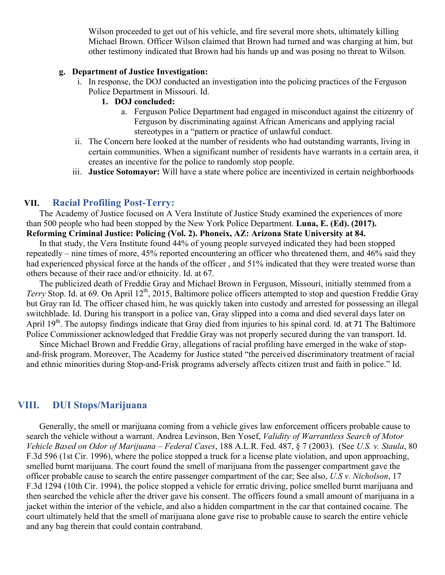Wilson proceeded to get out of his vehicle, and fire several more shots, ultimately killing Michael Brown. Officer Wilson claimed that Brown had turned and was charging at him, but other testimony indicated that Brown had his hands up and was posing no threat to Wilson.

#### **g. Department of Justice Investigation:**

- i. In response, the DOJ conducted an investigation into the policing practices of the Ferguson Police Department in Missouri. Id.
	- **1. DOJ concluded:**
		- a. Ferguson Police Department had engaged in misconduct against the citizenry of Ferguson by discriminating against African Americans and applying racial stereotypes in a "pattern or practice of unlawful conduct.
- ii. The Concern here looked at the number of residents who had outstanding warrants, living in certain communities. When a significant number of residents have warrants in a certain area, it creates an incentive for the police to randomly stop people.
- iii. **Justice Sotomayor:** Will have a state where police are incentivized in certain neighborhoods

#### **VII. Racial Profiling Post-Terry:**

The Academy of Justice focused on A Vera Institute of Justice Study examined the experiences of more than 500 people who had been stopped by the New York Police Department. **Luna, E. (Ed). (2017). Reforming Criminal Justice: Policing (Vol. 2). Phoneix, AZ: Arizona State University at 84.**

In that study, the Vera Institute found 44% of young people surveyed indicated they had been stopped repeatedly – nine times of more, 45% reported encountering an officer who threatened them, and 46% said they had experienced physical force at the hands of the officer , and 51% indicated that they were treated worse than others because of their race and/or ethnicity. Id. at 67.

The publicized death of Freddie Gray and Michael Brown in Ferguson, Missouri, initially stemmed from a *Terry* Stop. Id. at 69. On April 12<sup>th</sup>, 2015, Baltimore police officers attempted to stop and question Freddie Gray but Gray ran Id. The officer chased him, he was quickly taken into custody and arrested for possessing an illegal switchblade. Id. During his transport in a police van, Gray slipped into a coma and died several days later on April  $19<sup>th</sup>$ . The autopsy findings indicate that Gray died from injuries to his spinal cord. Id. at 71 The Baltimore Police Commissioner acknowledged that Freddie Gray was not properly secured during the van transport. Id.

Since Michael Brown and Freddie Gray, allegations of racial profiling have emerged in the wake of stopand-frisk program. Moreover, The Academy for Justice stated "the perceived discriminatory treatment of racial and ethnic minorities during Stop-and-Frisk programs adversely affects citizen trust and faith in police." Id.

### **VIII. DUI Stops/Marijuana**

Generally, the smell or marijuana coming from a vehicle gives law enforcement officers probable cause to search the vehicle without a warrant. Andrea Levinson, Ben Yosef, *Validity of Warrantless Search of Motor Vehicle Based on Odor of Marijuana – Federal Cases*, 188 A.L.R. Fed. 487, § 7 (2003). (See *U.S. v. Staula*, 80 F.3d 596 (1st Cir. 1996), where the police stopped a truck for a license plate violation, and upon approaching, smelled burnt marijuana. The court found the smell of marijuana from the passenger compartment gave the officer probable cause to search the entire passenger compartment of the car; See also, *U.S v. Nicholson*, 17 F.3d 1294 (10th Cir. 1994), the police stopped a vehicle for erratic driving, police smelled burnt marijuana and then searched the vehicle after the driver gave his consent. The officers found a small amount of marijuana in a jacket within the interior of the vehicle, and also a hidden compartment in the car that contained cocaine. The court ultimately held that the smell of marijuana alone gave rise to probable cause to search the entire vehicle and any bag therein that could contain contraband.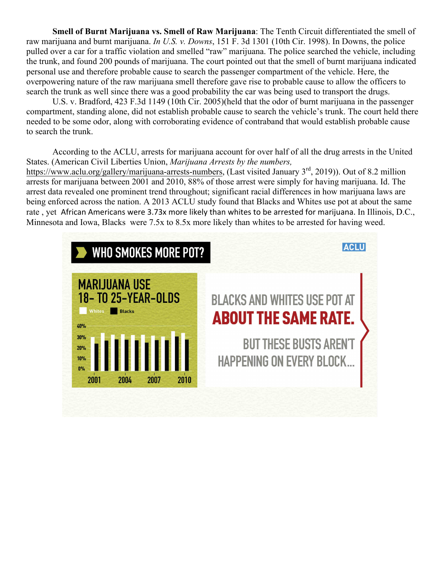**Smell of Burnt Marijuana vs. Smell of Raw Marijuana**: The Tenth Circuit differentiated the smell of raw marijuana and burnt marijuana. *In U.S. v. Downs*, 151 F. 3d 1301 (10th Cir. 1998). In Downs, the police pulled over a car for a traffic violation and smelled "raw" marijuana. The police searched the vehicle, including the trunk, and found 200 pounds of marijuana. The court pointed out that the smell of burnt marijuana indicated personal use and therefore probable cause to search the passenger compartment of the vehicle. Here, the overpowering nature of the raw marijuana smell therefore gave rise to probable cause to allow the officers to search the trunk as well since there was a good probability the car was being used to transport the drugs.

U.S. v. Bradford, 423 F.3d 1149 (10th Cir. 2005)(held that the odor of burnt marijuana in the passenger compartment, standing alone, did not establish probable cause to search the vehicle's trunk. The court held there needed to be some odor, along with corroborating evidence of contraband that would establish probable cause to search the trunk.

According to the ACLU, arrests for marijuana account for over half of all the drug arrests in the United States. (American Civil Liberties Union, *Marijuana Arrests by the numbers,*  https://www.aclu.org/gallery/marijuana-arrests-numbers, (Last visited January 3<sup>rd</sup>, 2019)). Out of 8.2 million arrests for marijuana between 2001 and 2010, 88% of those arrest were simply for having marijuana. Id. The arrest data revealed one prominent trend throughout; significant racial differences in how marijuana laws are being enforced across the nation. A 2013 ACLU study found that Blacks and Whites use pot at about the same rate, yet African Americans were 3.73x more likely than whites to be arrested for marijuana. In Illinois, D.C., Minnesota and Iowa, Blacks were 7.5x to 8.5x more likely than whites to be arrested for having weed.

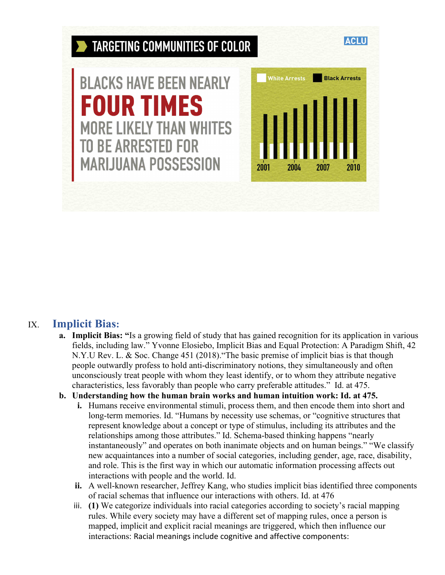

### IX. **Implicit Bias:**

- **a. Implicit Bias: "**Is a growing field of study that has gained recognition for its application in various fields, including law." Yvonne Elosiebo, Implicit Bias and Equal Protection: A Paradigm Shift, 42 N.Y.U Rev. L. & Soc. Change 451 (2018)."The basic premise of implicit bias is that though people outwardly profess to hold anti-discriminatory notions, they simultaneously and often unconsciously treat people with whom they least identify, or to whom they attribute negative characteristics, less favorably than people who carry preferable attitudes." Id. at 475.
- **b. Understanding how the human brain works and human intuition work: Id. at 475.**
	- **i.** Humans receive environmental stimuli, process them, and then encode them into short and long-term memories. Id. "Humans by necessity use schemas, or "cognitive structures that represent knowledge about a concept or type of stimulus, including its attributes and the relationships among those attributes." Id. Schema-based thinking happens "nearly instantaneously" and operates on both inanimate objects and on human beings." "We classify new acquaintances into a number of social categories, including gender, age, race, disability, and role. This is the first way in which our automatic information processing affects out interactions with people and the world. Id.
	- **ii.** A well-known researcher, Jeffrey Kang, who studies implicit bias identified three components of racial schemas that influence our interactions with others. Id. at 476
	- iii. **(1)** We categorize individuals into racial categories according to society's racial mapping rules. While every society may have a different set of mapping rules, once a person is mapped, implicit and explicit racial meanings are triggered, which then influence our interactions: Racial meanings include cognitive and affective components: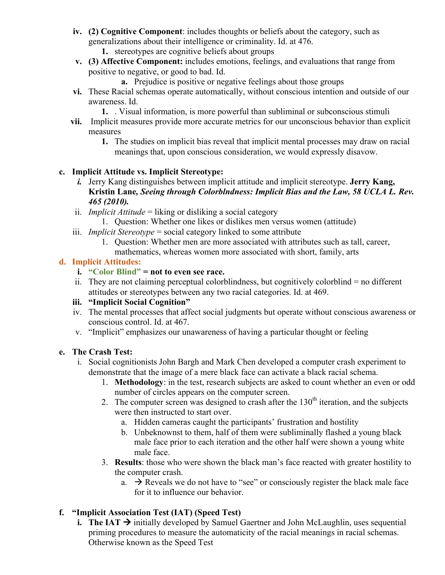- **iv. (2) Cognitive Component**: includes thoughts or beliefs about the category, such as generalizations about their intelligence or criminality. Id. at 476.
	- **1.** stereotypes are cognitive beliefs about groups
- **v. (3) Affective Component:** includes emotions, feelings, and evaluations that range from positive to negative, or good to bad. Id.
	- **a.** Prejudice is positive or negative feelings about those groups
- **vi.** These Racial schemas operate automatically, without conscious intention and outside of our awareness. Id.
	- **1.** . Visual information, is more powerful than subliminal or subconscious stimuli
- **vii.** Implicit measures provide more accurate metrics for our unconscious behavior than explicit measures
	- **1.** The studies on implicit bias reveal that implicit mental processes may draw on racial meanings that, upon conscious consideration, we would expressly disavow.

### **c. Implicit Attitude vs. Implicit Stereotype:**

- *i.* Jerry Kang distinguishes between implicit attitude and implicit stereotype. **Jerry Kang, Kristin Lane***, Seeing through Colorblndness: Implicit Bias and the Law, 58 UCLA L. Rev. 465 (2010).*
- ii. *Implicit Attitude* = liking or disliking a social category
	- 1. Question: Whether one likes or dislikes men versus women (attitude)
- iii. *Implicit Stereotype* = social category linked to some attribute
	- 1. Question: Whether men are more associated with attributes such as tall, career,
	- mathematics, whereas women more associated with short, family, arts

### **d. Implicit Attitudes:**

- **i. "Color Blind" = not to even see race.**
- ii. They are not claiming perceptual colorblindness, but cognitively colorblind = no different attitudes or stereotypes between any two racial categories. Id. at 469.

### **iii. "Implicit Social Cognition"**

- iv. The mental processes that affect social judgments but operate without conscious awareness or conscious control. Id. at 467.
- v. "Implicit" emphasizes our unawareness of having a particular thought or feeling

### **e. The Crash Test:**

- i. Social cognitionists John Bargh and Mark Chen developed a computer crash experiment to demonstrate that the image of a mere black face can activate a black racial schema.
	- 1. **Methodology**: in the test, research subjects are asked to count whether an even or odd number of circles appears on the computer screen.
	- 2. The computer screen was designed to crash after the  $130<sup>th</sup>$  iteration, and the subjects were then instructed to start over.
		- a. Hidden cameras caught the participants' frustration and hostility
		- b. Unbeknownst to them, half of them were subliminally flashed a young black male face prior to each iteration and the other half were shown a young white male face.
	- 3. **Results**: those who were shown the black man's face reacted with greater hostility to the computer crash.
		- a.  $\rightarrow$  Reveals we do not have to "see" or consciously register the black male face for it to influence our behavior.

### **f. "Implicit Association Test (IAT) (Speed Test)**

**i. The IAT**  $\rightarrow$  initially developed by Samuel Gaertner and John McLaughlin, uses sequential priming procedures to measure the automaticity of the racial meanings in racial schemas. Otherwise known as the Speed Test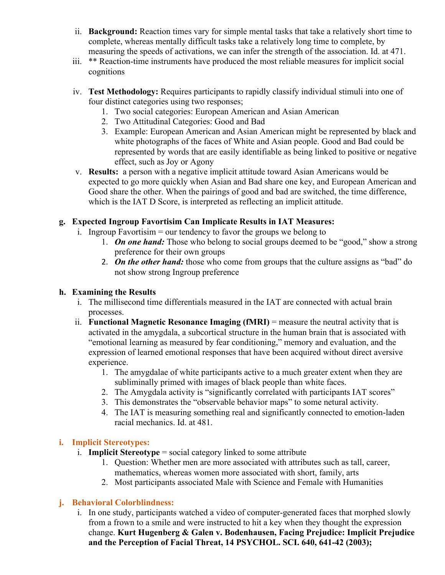- ii. **Background:** Reaction times vary for simple mental tasks that take a relatively short time to complete, whereas mentally difficult tasks take a relatively long time to complete, by measuring the speeds of activations, we can infer the strength of the association. Id. at 471.
- iii. \*\* Reaction-time instruments have produced the most reliable measures for implicit social cognitions
- iv. **Test Methodology:** Requires participants to rapidly classify individual stimuli into one of four distinct categories using two responses;
	- 1. Two social categories: European American and Asian American
	- 2. Two Attitudinal Categories: Good and Bad
	- 3. Example: European American and Asian American might be represented by black and white photographs of the faces of White and Asian people. Good and Bad could be represented by words that are easily identifiable as being linked to positive or negative effect, such as Joy or Agony
- v. **Results:** a person with a negative implicit attitude toward Asian Americans would be expected to go more quickly when Asian and Bad share one key, and European American and Good share the other. When the pairings of good and bad are switched, the time difference, which is the IAT D Score, is interpreted as reflecting an implicit attitude.

### **g. Expected Ingroup Favortisim Can Implicate Results in IAT Measures:**

- i. Ingroup Favortisim = our tendency to favor the groups we belong to
	- 1. *On one hand:* Those who belong to social groups deemed to be "good," show a strong preference for their own groups
	- 2. *On the other hand:* those who come from groups that the culture assigns as "bad" do not show strong Ingroup preference

### **h. Examining the Results**

- i. The millisecond time differentials measured in the IAT are connected with actual brain processes.
- ii. **Functional Magnetic Resonance Imaging (fMRI)** = measure the neutral activity that is activated in the amygdala, a subcortical structure in the human brain that is associated with "emotional learning as measured by fear conditioning," memory and evaluation, and the expression of learned emotional responses that have been acquired without direct aversive experience.
	- 1. The amygdalae of white participants active to a much greater extent when they are subliminally primed with images of black people than white faces.
	- 2. The Amygdala activity is "significantly correlated with participants IAT scores"
	- 3. This demonstrates the "observable behavior maps" to some netural activity.
	- 4. The IAT is measuring something real and significantly connected to emotion-laden racial mechanics. Id. at 481.

### **i. Implicit Stereotypes:**

- i. **Implicit Stereotype** = social category linked to some attribute
	- 1. Question: Whether men are more associated with attributes such as tall, career, mathematics, whereas women more associated with short, family, arts
	- 2. Most participants associated Male with Science and Female with Humanities

### **j. Behavioral Colorblindness:**

i. In one study, participants watched a video of computer-generated faces that morphed slowly from a frown to a smile and were instructed to hit a key when they thought the expression change. **Kurt Hugenberg & Galen v. Bodenhausen, Facing Prejudice: Implicit Prejudice and the Perception of Facial Threat, 14 PSYCHOL. SCI. 640, 641-42 (2003);**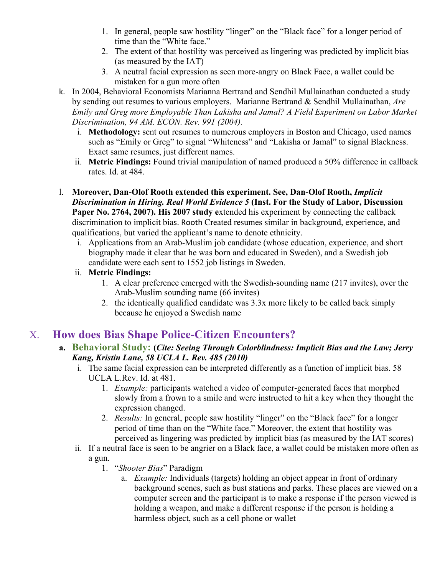- 1. In general, people saw hostility "linger" on the "Black face" for a longer period of time than the "White face."
- 2. The extent of that hostility was perceived as lingering was predicted by implicit bias (as measured by the IAT)
- 3. A neutral facial expression as seen more-angry on Black Face, a wallet could be mistaken for a gun more often
- k. In 2004, Behavioral Economists Marianna Bertrand and Sendhil Mullainathan conducted a study by sending out resumes to various employers. Marianne Bertrand & Sendhil Mullainathan, *Are Emily and Greg more Employable Than Lakisha and Jamal? A Field Experiment on Labor Market Discrimination, 94 AM. ECON. Rev. 991 (2004).* 
	- i. **Methodology:** sent out resumes to numerous employers in Boston and Chicago, used names such as "Emily or Greg" to signal "Whiteness" and "Lakisha or Jamal" to signal Blackness. Exact same resumes, just different names.
	- ii. **Metric Findings:** Found trivial manipulation of named produced a 50% difference in callback rates. Id. at 484.
- l. **Moreover, Dan-Olof Rooth extended this experiment. See, Dan-Olof Rooth,** *Implicit Discrimination in Hiring. Real World Evidence 5* **(Inst. For the Study of Labor, Discussion Paper No. 2764, 2007). <b>His 2007 study** extended his experiment by connecting the callback discrimination to implicit bias. Rooth Created resumes similar in background, experience, and qualifications, but varied the applicant's name to denote ethnicity.
	- i. Applications from an Arab-Muslim job candidate (whose education, experience, and short biography made it clear that he was born and educated in Sweden), and a Swedish job candidate were each sent to 1552 job listings in Sweden.
	- ii. **Metric Findings:**
		- 1. A clear preference emerged with the Swedish-sounding name (217 invites), over the Arab-Muslim sounding name (66 invites)
		- 2. the identically qualified candidate was 3.3x more likely to be called back simply because he enjoyed a Swedish name

# X. **How does Bias Shape Police-Citizen Encounters?**

- **a. Behavioral Study: (***Cite: Seeing Through Colorblindness: Implicit Bias and the Law; Jerry Kang, Kristin Lane, 58 UCLA L. Rev. 485 (2010)*
	- i. The same facial expression can be interpreted differently as a function of implicit bias. 58 UCLA L.Rev. Id. at 481.
		- 1. *Example:* participants watched a video of computer-generated faces that morphed slowly from a frown to a smile and were instructed to hit a key when they thought the expression changed.
		- 2. *Results:* In general, people saw hostility "linger" on the "Black face" for a longer period of time than on the "White face." Moreover, the extent that hostility was perceived as lingering was predicted by implicit bias (as measured by the IAT scores)
	- ii. If a neutral face is seen to be angrier on a Black face, a wallet could be mistaken more often as a gun.
		- 1. "*Shooter Bias*" Paradigm
			- a. *Example:* Individuals (targets) holding an object appear in front of ordinary background scenes, such as bust stations and parks. These places are viewed on a computer screen and the participant is to make a response if the person viewed is holding a weapon, and make a different response if the person is holding a harmless object, such as a cell phone or wallet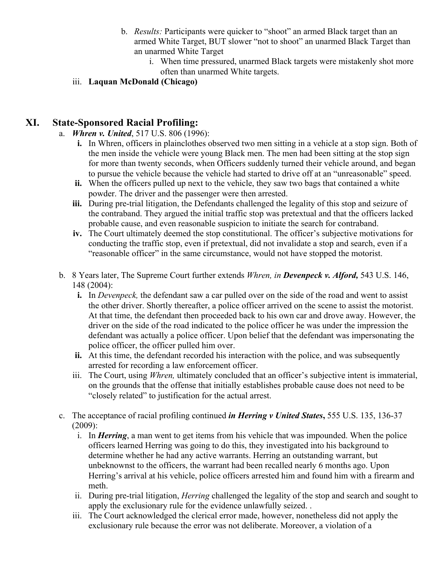- b. *Results:* Participants were quicker to "shoot" an armed Black target than an armed White Target, BUT slower "not to shoot" an unarmed Black Target than an unarmed White Target
	- i. When time pressured, unarmed Black targets were mistakenly shot more often than unarmed White targets.
- iii. **Laquan McDonald (Chicago)**

### **XI. State-Sponsored Racial Profiling:**

- a. *Whren v. United*, 517 U.S. 806 (1996):
	- **i.** In Whren, officers in plainclothes observed two men sitting in a vehicle at a stop sign. Both of the men inside the vehicle were young Black men. The men had been sitting at the stop sign for more than twenty seconds, when Officers suddenly turned their vehicle around, and began to pursue the vehicle because the vehicle had started to drive off at an "unreasonable" speed.
	- **ii.** When the officers pulled up next to the vehicle, they saw two bags that contained a white powder. The driver and the passenger were then arrested.
	- **iii.** During pre-trial litigation, the Defendants challenged the legality of this stop and seizure of the contraband. They argued the initial traffic stop was pretextual and that the officers lacked probable cause, and even reasonable suspicion to initiate the search for contraband.
	- **iv.** The Court ultimately deemed the stop constitutional. The officer's subjective motivations for conducting the traffic stop, even if pretextual, did not invalidate a stop and search, even if a "reasonable officer" in the same circumstance, would not have stopped the motorist.
- b. 8 Years later, The Supreme Court further extends *Whren, in Devenpeck v. Alford,* 543 U.S. 146, 148 (2004):
	- **i.** In *Devenpeck,* the defendant saw a car pulled over on the side of the road and went to assist the other driver. Shortly thereafter, a police officer arrived on the scene to assist the motorist. At that time, the defendant then proceeded back to his own car and drove away. However, the driver on the side of the road indicated to the police officer he was under the impression the defendant was actually a police officer. Upon belief that the defendant was impersonating the police officer, the officer pulled him over.
	- **ii.** At this time, the defendant recorded his interaction with the police, and was subsequently arrested for recording a law enforcement officer.
	- iii. The Court, using *Whren,* ultimately concluded that an officer's subjective intent is immaterial, on the grounds that the offense that initially establishes probable cause does not need to be "closely related" to justification for the actual arrest.
- c. The acceptance of racial profiling continued *in Herring v United States***,** 555 U.S. 135, 136-37 (2009):
	- i. In *Herring*, a man went to get items from his vehicle that was impounded. When the police officers learned Herring was going to do this, they investigated into his background to determine whether he had any active warrants. Herring an outstanding warrant, but unbeknownst to the officers, the warrant had been recalled nearly 6 months ago. Upon Herring's arrival at his vehicle, police officers arrested him and found him with a firearm and meth.
	- ii. During pre-trial litigation, *Herring* challenged the legality of the stop and search and sought to apply the exclusionary rule for the evidence unlawfully seized. .
	- iii. The Court acknowledged the clerical error made, however, nonetheless did not apply the exclusionary rule because the error was not deliberate. Moreover, a violation of a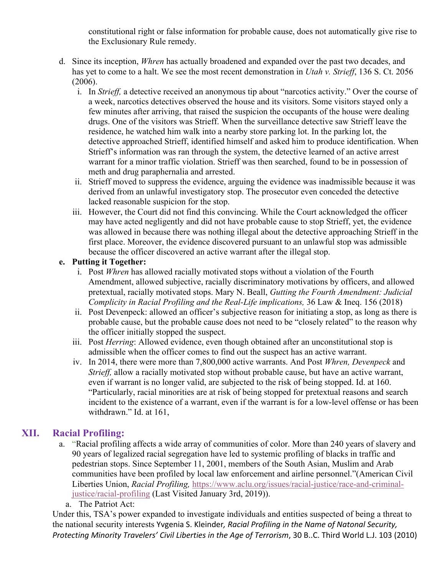constitutional right or false information for probable cause, does not automatically give rise to the Exclusionary Rule remedy.

- d. Since its inception, *Whren* has actually broadened and expanded over the past two decades, and has yet to come to a halt. We see the most recent demonstration in *Utah v. Strieff*, 136 S. Ct. 2056 (2006).
	- i. In *Strieff,* a detective received an anonymous tip about "narcotics activity." Over the course of a week, narcotics detectives observed the house and its visitors. Some visitors stayed only a few minutes after arriving, that raised the suspicion the occupants of the house were dealing drugs. One of the visitors was Strieff. When the surveillance detective saw Strieff leave the residence, he watched him walk into a nearby store parking lot. In the parking lot, the detective approached Strieff, identified himself and asked him to produce identification. When Strieff's information was ran through the system, the detective learned of an active arrest warrant for a minor traffic violation. Strieff was then searched, found to be in possession of meth and drug paraphernalia and arrested.
	- ii. Strieff moved to suppress the evidence, arguing the evidence was inadmissible because it was derived from an unlawful investigatory stop. The prosecutor even conceded the detective lacked reasonable suspicion for the stop.
	- iii. However, the Court did not find this convincing. While the Court acknowledged the officer may have acted negligently and did not have probable cause to stop Strieff, yet, the evidence was allowed in because there was nothing illegal about the detective approaching Strieff in the first place. Moreover, the evidence discovered pursuant to an unlawful stop was admissible because the officer discovered an active warrant after the illegal stop.

#### **e. Putting it Together:**

- i. Post *Whren* has allowed racially motivated stops without a violation of the Fourth Amendment, allowed subjective, racially discriminatory motivations by officers, and allowed pretextual, racially motivated stops. Mary N. Beall, *Gutting the Fourth Amendment: Judicial Complicity in Racial Profiling and the Real-Life implications,* 36 Law & Ineq. 156 (2018)
- ii. Post Devenpeck: allowed an officer's subjective reason for initiating a stop, as long as there is probable cause, but the probable cause does not need to be "closely related" to the reason why the officer initially stopped the suspect.
- iii. Post *Herring*: Allowed evidence, even though obtained after an unconstitutional stop is admissible when the officer comes to find out the suspect has an active warrant.
- iv. In 2014, there were more than 7,800,000 active warrants. And Post *Whren, Devenpeck* and *Strieff,* allow a racially motivated stop without probable cause, but have an active warrant, even if warrant is no longer valid, are subjected to the risk of being stopped. Id. at 160. "Particularly, racial minorities are at risk of being stopped for pretextual reasons and search incident to the existence of a warrant, even if the warrant is for a low-level offense or has been withdrawn." Id. at 161,

### **XII. Racial Profiling:**

- a. "Racial profiling affects a wide array of communities of color. More than 240 years of slavery and 90 years of legalized racial segregation have led to systemic profiling of blacks in traffic and pedestrian stops. Since September 11, 2001, members of the South Asian, Muslim and Arab communities have been profiled by local law enforcement and airline personnel."(American Civil Liberties Union, *Racial Profiling,* https://www.aclu.org/issues/racial-justice/race-and-criminaljustice/racial-profiling (Last Visited January 3rd, 2019)).
	- a. The Patriot Act:

Under this, TSA's power expanded to investigate individuals and entities suspected of being a threat to the national security interests Yvgenia S. Kleinder, Racial Profiling in the Name of Natonal Security, *Protecting Minority Travelers' Civil Liberties in the Age of Terrorism,* 30 B..C. Third World L.J. 103 (2010)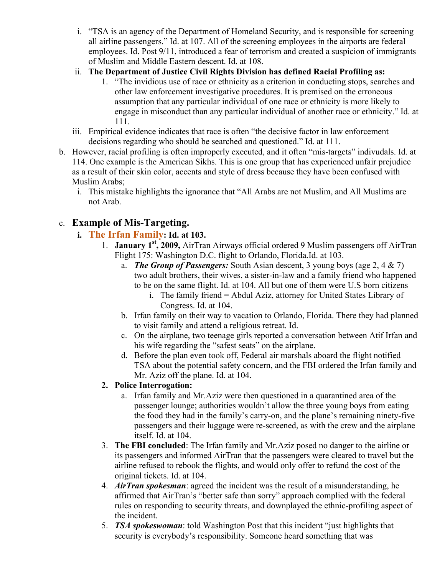- i. "TSA is an agency of the Department of Homeland Security, and is responsible for screening all airline passengers." Id. at 107. All of the screening employees in the airports are federal employees. Id. Post 9/11, introduced a fear of terrorism and created a suspicion of immigrants of Muslim and Middle Eastern descent. Id. at 108.
- ii. **The Department of Justice Civil Rights Division has defined Racial Profiling as:**
	- 1. "The invidious use of race or ethnicity as a criterion in conducting stops, searches and other law enforcement investigative procedures. It is premised on the erroneous assumption that any particular individual of one race or ethnicity is more likely to engage in misconduct than any particular individual of another race or ethnicity." Id. at 111.
- iii. Empirical evidence indicates that race is often "the decisive factor in law enforcement decisions regarding who should be searched and questioned." Id. at 111.
- b. However, racial profiling is often improperly executed, and it often "mis-targets" indivudals. Id. at 114. One example is the American Sikhs. This is one group that has experienced unfair prejudice as a result of their skin color, accents and style of dress because they have been confused with Muslim Arabs;
	- i. This mistake highlights the ignorance that "All Arabs are not Muslim, and All Muslims are not Arab.

### c. **Example of Mis-Targeting.**

- **i. The Irfan Family: Id. at 103.** 
	- 1. **January 1st, 2009,** AirTran Airways official ordered 9 Muslim passengers off AirTran Flight 175: Washington D.C. flight to Orlando, Florida.Id. at 103.
		- a. *The Group of Passengers:* South Asian descent, 3 young boys (age 2, 4 & 7) two adult brothers, their wives, a sister-in-law and a family friend who happened to be on the same flight. Id. at 104. All but one of them were U.S born citizens
			- i. The family friend = Abdul Aziz, attorney for United States Library of Congress. Id. at 104.
		- b. Irfan family on their way to vacation to Orlando, Florida. There they had planned to visit family and attend a religious retreat. Id.
		- c. On the airplane, two teenage girls reported a conversation between Atif Irfan and his wife regarding the "safest seats" on the airplane.
		- d. Before the plan even took off, Federal air marshals aboard the flight notified TSA about the potential safety concern, and the FBI ordered the Irfan family and Mr. Aziz off the plane. Id. at 104.

### **2. Police Interrogation:**

- a. Irfan family and Mr.Aziz were then questioned in a quarantined area of the passenger lounge; authorities wouldn't allow the three young boys from eating the food they had in the family's carry-on, and the plane's remaining ninety-five passengers and their luggage were re-screened, as with the crew and the airplane itself. Id. at 104.
- 3. **The FBI concluded**: The Irfan family and Mr.Aziz posed no danger to the airline or its passengers and informed AirTran that the passengers were cleared to travel but the airline refused to rebook the flights, and would only offer to refund the cost of the original tickets. Id. at 104.
- 4. *AirTran spokesman*: agreed the incident was the result of a misunderstanding, he affirmed that AirTran's "better safe than sorry" approach complied with the federal rules on responding to security threats, and downplayed the ethnic-profiling aspect of the incident.
- 5. *TSA spokeswoman*: told Washington Post that this incident "just highlights that security is everybody's responsibility. Someone heard something that was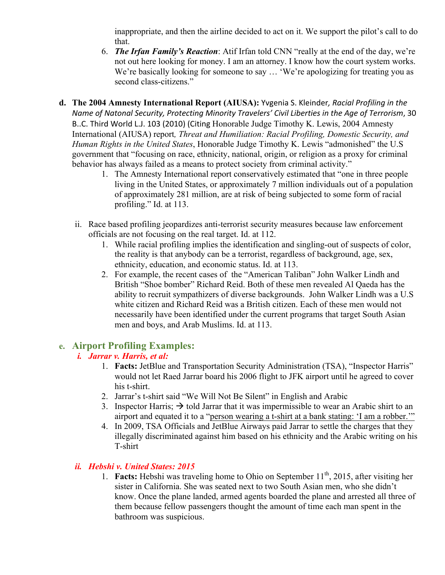inappropriate, and then the airline decided to act on it. We support the pilot's call to do that.

- 6. *The Irfan Family's Reaction*: Atif Irfan told CNN "really at the end of the day, we're not out here looking for money. I am an attorney. I know how the court system works. We're basically looking for someone to say ... 'We're apologizing for treating you as second class-citizens."
- d. The 2004 Amnesty International Report (AIUSA): Yvgenia S. Kleinder, Racial Profiling in the *Name of Natonal Security, Protecting Minority Travelers' Civil Liberties in the Age of Terrorism, 30* B..C. Third World L.J. 103 (2010) (Citing Honorable Judge Timothy K. Lewis, 2004 Amnesty International (AIUSA) report*, Threat and Humiliation: Racial Profiling, Domestic Security, and Human Rights in the United States*, Honorable Judge Timothy K. Lewis "admonished" the U.S government that "focusing on race, ethnicity, national, origin, or religion as a proxy for criminal behavior has always failed as a means to protect society from criminal activity."
	- 1. The Amnesty International report conservatively estimated that "one in three people living in the United States, or approximately 7 million individuals out of a population of approximately 281 million, are at risk of being subjected to some form of racial profiling." Id. at 113.
	- ii. Race based profiling jeopardizes anti-terrorist security measures because law enforcement officials are not focusing on the real target. Id. at 112.
		- 1. While racial profiling implies the identification and singling-out of suspects of color, the reality is that anybody can be a terrorist, regardless of background, age, sex, ethnicity, education, and economic status. Id. at 113.
		- 2. For example, the recent cases of the "American Taliban" John Walker Lindh and British "Shoe bomber" Richard Reid. Both of these men revealed Al Qaeda has the ability to recruit sympathizers of diverse backgrounds. John Walker Lindh was a U.S white citizen and Richard Reid was a British citizen. Each of these men would not necessarily have been identified under the current programs that target South Asian men and boys, and Arab Muslims. Id. at 113.

### **e. Airport Profiling Examples:**

### *i. Jarrar v. Harris, et al:*

- 1. **Facts:** JetBlue and Transportation Security Administration (TSA), "Inspector Harris" would not let Raed Jarrar board his 2006 flight to JFK airport until he agreed to cover his t-shirt.
- 2. Jarrar's t-shirt said "We Will Not Be Silent" in English and Arabic
- 3. Inspector Harris;  $\rightarrow$  told Jarrar that it was impermissible to wear an Arabic shirt to an airport and equated it to a "person wearing a t-shirt at a bank stating: 'I am a robber.'"
- 4. In 2009, TSA Officials and JetBlue Airways paid Jarrar to settle the charges that they illegally discriminated against him based on his ethnicity and the Arabic writing on his T-shirt

### *ii. Hebshi v. United States: 2015*

1. **Facts:** Hebshi was traveling home to Ohio on September 11th, 2015, after visiting her sister in California. She was seated next to two South Asian men, who she didn't know. Once the plane landed, armed agents boarded the plane and arrested all three of them because fellow passengers thought the amount of time each man spent in the bathroom was suspicious.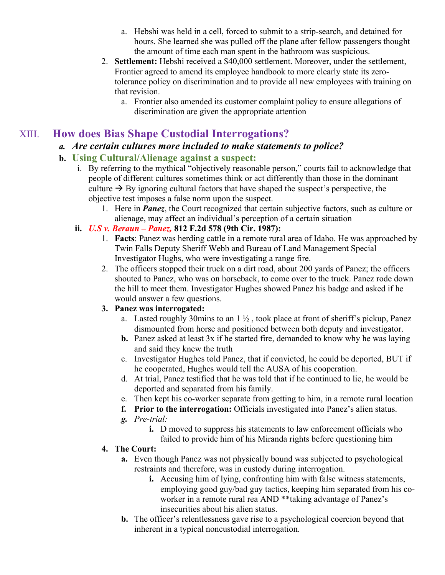- a. Hebshi was held in a cell, forced to submit to a strip-search, and detained for hours. She learned she was pulled off the plane after fellow passengers thought the amount of time each man spent in the bathroom was suspicious.
- 2. **Settlement:** Hebshi received a \$40,000 settlement. Moreover, under the settlement, Frontier agreed to amend its employee handbook to more clearly state its zerotolerance policy on discrimination and to provide all new employees with training on that revision.
	- a. Frontier also amended its customer complaint policy to ensure allegations of discrimination are given the appropriate attention

# XIII. **How does Bias Shape Custodial Interrogations?**

### *a. Are certain cultures more included to make statements to police?*

- **b. Using Cultural/Alienage against a suspect:** 
	- i. By referring to the mythical "objectively reasonable person," courts fail to acknowledge that people of different cultures sometimes think or act differently than those in the dominant culture  $\rightarrow$  By ignoring cultural factors that have shaped the suspect's perspective, the objective test imposes a false norm upon the suspect.
		- 1. Here in *Panez*, the Court recognized that certain subjective factors, such as culture or alienage, may affect an individual's perception of a certain situation

### **ii.** *U.S v. Beraun – Panez,* **812 F.2d 578 (9th Cir. 1987):**

- 1. **Facts**: Panez was herding cattle in a remote rural area of Idaho. He was approached by Twin Falls Deputy Sheriff Webb and Bureau of Land Management Special Investigator Hughs, who were investigating a range fire.
- 2. The officers stopped their truck on a dirt road, about 200 yards of Panez; the officers shouted to Panez, who was on horseback, to come over to the truck. Panez rode down the hill to meet them. Investigator Hughes showed Panez his badge and asked if he would answer a few questions.

### **3. Panez was interrogated:**

- a. Lasted roughly 30mins to an  $1\frac{1}{2}$ , took place at front of sheriff's pickup, Panez dismounted from horse and positioned between both deputy and investigator.
- **b.** Panez asked at least 3x if he started fire, demanded to know why he was laying and said they knew the truth
- c. Investigator Hughes told Panez, that if convicted, he could be deported, BUT if he cooperated, Hughes would tell the AUSA of his cooperation.
- d. At trial, Panez testified that he was told that if he continued to lie, he would be deported and separated from his family.
- e. Then kept his co-worker separate from getting to him, in a remote rural location
- **f. Prior to the interrogation:** Officials investigated into Panez's alien status.
- *g. Pre-trial:*
	- **i.** D moved to suppress his statements to law enforcement officials who failed to provide him of his Miranda rights before questioning him

### **4. The Court:**

- **a.** Even though Panez was not physically bound was subjected to psychological restraints and therefore, was in custody during interrogation.
	- **i.** Accusing him of lying, confronting him with false witness statements, employing good guy/bad guy tactics, keeping him separated from his coworker in a remote rural rea AND \*\*taking advantage of Panez's insecurities about his alien status.
- **b.** The officer's relentlessness gave rise to a psychological coercion beyond that inherent in a typical noncustodial interrogation.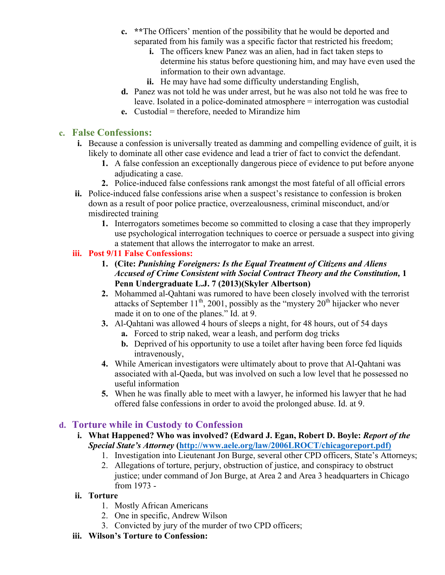- **c. \*\***The Officers' mention of the possibility that he would be deported and separated from his family was a specific factor that restricted his freedom;
	- **i.** The officers knew Panez was an alien, had in fact taken steps to determine his status before questioning him, and may have even used the information to their own advantage.
	- **ii.** He may have had some difficulty understanding English,
- **d.** Panez was not told he was under arrest, but he was also not told he was free to leave. Isolated in a police-dominated atmosphere = interrogation was custodial
- **e.** Custodial = therefore, needed to Mirandize him

#### **c. False Confessions:**

- **i.** Because a confession is universally treated as damming and compelling evidence of guilt, it is likely to dominate all other case evidence and lead a trier of fact to convict the defendant.
	- **1.** A false confession an exceptionally dangerous piece of evidence to put before anyone adjudicating a case.
	- **2.** Police-induced false confessions rank amongst the most fateful of all official errors
- **ii.** Police-induced false confessions arise when a suspect's resistance to confession is broken down as a result of poor police practice, overzealousness, criminal misconduct, and/or misdirected training
	- **1.** Interrogators sometimes become so committed to closing a case that they improperly use psychological interrogation techniques to coerce or persuade a suspect into giving a statement that allows the interrogator to make an arrest.

#### **iii. Post 9/11 False Confessions:**

- **1. (Cite:** *Punishing Foreigners: Is the Equal Treatment of Citizens and Aliens Accused of Crime Consistent with Social Contract Theory and the Constitution,* **1 Penn Undergraduate L.J. 7 (2013)(Skyler Albertson)**
- **2.** Mohammed al-Qahtani was rumored to have been closely involved with the terrorist attacks of September  $11<sup>th</sup>$ , 2001, possibly as the "mystery  $20<sup>th</sup>$  hijacker who never made it on to one of the planes." Id. at 9.
- **3.** Al-Qahtani was allowed 4 hours of sleeps a night, for 48 hours, out of 54 days
	- **a.** Forced to strip naked, wear a leash, and perform dog tricks
	- **b.** Deprived of his opportunity to use a toilet after having been force fed liquids intravenously,
- **4.** While American investigators were ultimately about to prove that Al-Qahtani was associated with al-Qaeda, but was involved on such a low level that he possessed no useful information
- **5.** When he was finally able to meet with a lawyer, he informed his lawyer that he had offered false confessions in order to avoid the prolonged abuse. Id. at 9.

### **d. Torture while in Custody to Confession**

- **i. What Happened? Who was involved? (Edward J. Egan, Robert D. Boyle:** *Report of the Special State's Attorney* **(http://www.aele.org/law/2006LROCT/chicagoreport.pdf)**
	- 1. Investigation into Lieutenant Jon Burge, several other CPD officers, State's Attorneys;
	- 2. Allegations of torture, perjury, obstruction of justice, and conspiracy to obstruct justice; under command of Jon Burge, at Area 2 and Area 3 headquarters in Chicago from 1973 -

#### **ii. Torture**

- 1. Mostly African Americans
- 2. One in specific, Andrew Wilson
- 3. Convicted by jury of the murder of two CPD officers;
- **iii. Wilson's Torture to Confession:**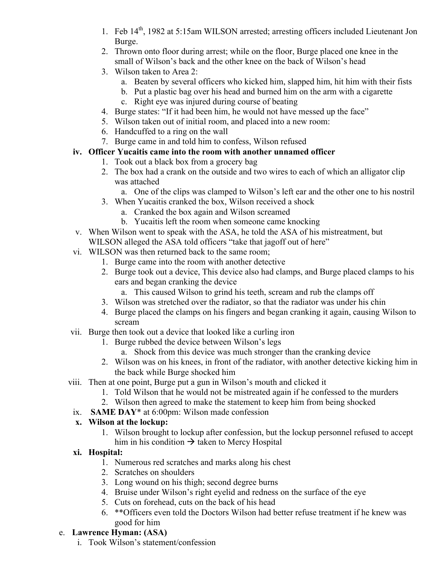- 1. Feb 14<sup>th</sup>, 1982 at 5:15am WILSON arrested; arresting officers included Lieutenant Jon Burge.
- 2. Thrown onto floor during arrest; while on the floor, Burge placed one knee in the small of Wilson's back and the other knee on the back of Wilson's head
- 3. Wilson taken to Area 2:
	- a. Beaten by several officers who kicked him, slapped him, hit him with their fists
	- b. Put a plastic bag over his head and burned him on the arm with a cigarette
	- c. Right eye was injured during course of beating
- 4. Burge states: "If it had been him, he would not have messed up the face"
- 5. Wilson taken out of initial room, and placed into a new room:
- 6. Handcuffed to a ring on the wall
- 7. Burge came in and told him to confess, Wilson refused

### **iv. Officer Yucaitis came into the room with another unnamed officer**

- 1. Took out a black box from a grocery bag
- 2. The box had a crank on the outside and two wires to each of which an alligator clip was attached
	- a. One of the clips was clamped to Wilson's left ear and the other one to his nostril
- 3. When Yucaitis cranked the box, Wilson received a shock
	- a. Cranked the box again and Wilson screamed
		- b. Yucaitis left the room when someone came knocking
- v. When Wilson went to speak with the ASA, he told the ASA of his mistreatment, but WILSON alleged the ASA told officers "take that jagoff out of here"
- vi. WILSON was then returned back to the same room;
	- 1. Burge came into the room with another detective
	- 2. Burge took out a device, This device also had clamps, and Burge placed clamps to his ears and began cranking the device
		- a. This caused Wilson to grind his teeth, scream and rub the clamps off
	- 3. Wilson was stretched over the radiator, so that the radiator was under his chin
	- 4. Burge placed the clamps on his fingers and began cranking it again, causing Wilson to scream
- vii. Burge then took out a device that looked like a curling iron
	- 1. Burge rubbed the device between Wilson's legs
		- a. Shock from this device was much stronger than the cranking device
	- 2. Wilson was on his knees, in front of the radiator, with another detective kicking him in the back while Burge shocked him
- viii. Then at one point, Burge put a gun in Wilson's mouth and clicked it
	- 1. Told Wilson that he would not be mistreated again if he confessed to the murders
	- 2. Wilson then agreed to make the statement to keep him from being shocked
- ix. **SAME DAY**\* at 6:00pm: Wilson made confession

### **x. Wilson at the lockup:**

1. Wilson brought to lockup after confession, but the lockup personnel refused to accept him in his condition  $\rightarrow$  taken to Mercy Hospital

### **xi. Hospital:**

- 1. Numerous red scratches and marks along his chest
- 2. Scratches on shoulders
- 3. Long wound on his thigh; second degree burns
- 4. Bruise under Wilson's right eyelid and redness on the surface of the eye
- 5. Cuts on forehead, cuts on the back of his head
- 6. \*\*Officers even told the Doctors Wilson had better refuse treatment if he knew was good for him

# e. **Lawrence Hyman: (ASA)**

i. Took Wilson's statement/confession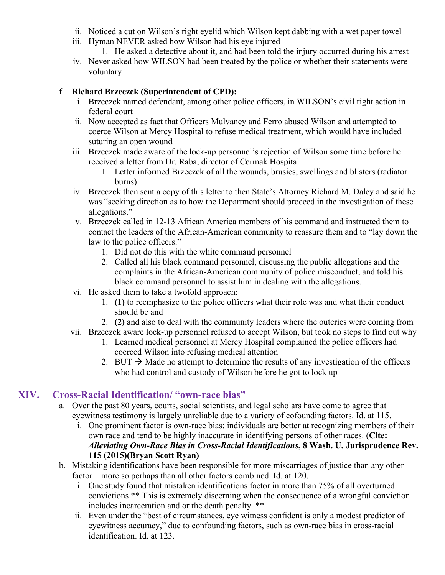- ii. Noticed a cut on Wilson's right eyelid which Wilson kept dabbing with a wet paper towel
- iii. Hyman NEVER asked how Wilson had his eye injured
	- 1. He asked a detective about it, and had been told the injury occurred during his arrest
- iv. Never asked how WILSON had been treated by the police or whether their statements were voluntary

#### f. **Richard Brzeczek (Superintendent of CPD):**

- i. Brzeczek named defendant, among other police officers, in WILSON's civil right action in federal court
- ii. Now accepted as fact that Officers Mulvaney and Ferro abused Wilson and attempted to coerce Wilson at Mercy Hospital to refuse medical treatment, which would have included suturing an open wound
- iii. Brzeczek made aware of the lock-up personnel's rejection of Wilson some time before he received a letter from Dr. Raba, director of Cermak Hospital
	- 1. Letter informed Brzeczek of all the wounds, brusies, swellings and blisters (radiator burns)
- iv. Brzeczek then sent a copy of this letter to then State's Attorney Richard M. Daley and said he was "seeking direction as to how the Department should proceed in the investigation of these allegations."
- v. Brzeczek called in 12-13 African America members of his command and instructed them to contact the leaders of the African-American community to reassure them and to "lay down the law to the police officers."
	- 1. Did not do this with the white command personnel
	- 2. Called all his black command personnel, discussing the public allegations and the complaints in the African-American community of police misconduct, and told his black command personnel to assist him in dealing with the allegations.
- vi. He asked them to take a twofold approach:
	- 1. **(1)** to reemphasize to the police officers what their role was and what their conduct should be and
	- 2. **(2)** and also to deal with the community leaders where the outcries were coming from
- vii. Brzeczek aware lock-up personnel refused to accept Wilson, but took no steps to find out why
	- 1. Learned medical personnel at Mercy Hospital complained the police officers had coerced Wilson into refusing medical attention
	- 2. BUT  $\rightarrow$  Made no attempt to determine the results of any investigation of the officers who had control and custody of Wilson before he got to lock up

### **XIV. Cross-Racial Identification/ "own-race bias"**

- a. Over the past 80 years, courts, social scientists, and legal scholars have come to agree that eyewitness testimony is largely unreliable due to a variety of cofounding factors. Id. at 115.
	- i. One prominent factor is own-race bias: individuals are better at recognizing members of their own race and tend to be highly inaccurate in identifying persons of other races. (**Cite:**  *Alleviating Own-Race Bias in Cross-Racial Identifications***, 8 Wash. U. Jurisprudence Rev. 115 (2015)(Bryan Scott Ryan)**
- b. Mistaking identifications have been responsible for more miscarriages of justice than any other factor – more so perhaps than all other factors combined. Id. at 120.
	- i. One study found that mistaken identifications factor in more than 75% of all overturned convictions \*\* This is extremely discerning when the consequence of a wrongful conviction includes incarceration and or the death penalty. \*\*
	- ii. Even under the "best of circumstances, eye witness confident is only a modest predictor of eyewitness accuracy," due to confounding factors, such as own-race bias in cross-racial identification. Id. at 123.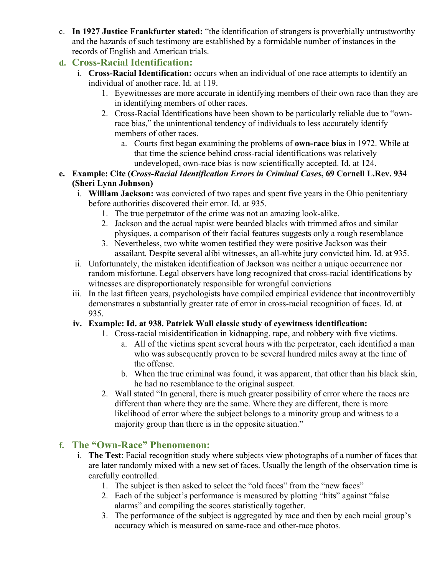c. **In 1927 Justice Frankfurter stated:** "the identification of strangers is proverbially untrustworthy and the hazards of such testimony are established by a formidable number of instances in the records of English and American trials.

### **d. Cross-Racial Identification:**

- i. **Cross-Racial Identification:** occurs when an individual of one race attempts to identify an individual of another race. Id. at 119.
	- 1. Eyewitnesses are more accurate in identifying members of their own race than they are in identifying members of other races.
	- 2. Cross-Racial Identifications have been shown to be particularly reliable due to "ownrace bias," the unintentional tendency of individuals to less accurately identify members of other races.
		- a. Courts first began examining the problems of **own-race bias** in 1972. While at that time the science behind cross-racial identifications was relatively undeveloped, own-race bias is now scientifically accepted. Id. at 124.
- **e. Example: Cite (***Cross-Racial Identification Errors in Criminal Cases***, 69 Cornell L.Rev. 934 (Sheri Lynn Johnson)** 
	- i. **William Jackson:** was convicted of two rapes and spent five years in the Ohio penitentiary before authorities discovered their error. Id. at 935.
		- 1. The true perpetrator of the crime was not an amazing look-alike.
		- 2. Jackson and the actual rapist were bearded blacks with trimmed afros and similar physiques, a comparison of their facial features suggests only a rough resemblance
		- 3. Nevertheless, two white women testified they were positive Jackson was their assailant. Despite several alibi witnesses, an all-white jury convicted him. Id. at 935.
	- ii. Unfortunately, the mistaken identification of Jackson was neither a unique occurrence nor random misfortune. Legal observers have long recognized that cross-racial identifications by witnesses are disproportionately responsible for wrongful convictions
	- iii. In the last fifteen years, psychologists have compiled empirical evidence that incontrovertibly demonstrates a substantially greater rate of error in cross-racial recognition of faces. Id. at 935.
	- **iv. Example: Id. at 938. Patrick Wall classic study of eyewitness identification:** 
		- 1. Cross-racial misidentification in kidnapping, rape, and robbery with five victims.
			- a. All of the victims spent several hours with the perpetrator, each identified a man who was subsequently proven to be several hundred miles away at the time of the offense.
			- b. When the true criminal was found, it was apparent, that other than his black skin, he had no resemblance to the original suspect.
		- 2. Wall stated "In general, there is much greater possibility of error where the races are different than where they are the same. Where they are different, there is more likelihood of error where the subject belongs to a minority group and witness to a majority group than there is in the opposite situation."

## **f. The "Own-Race" Phenomenon:**

- i. **The Test**: Facial recognition study where subjects view photographs of a number of faces that are later randomly mixed with a new set of faces. Usually the length of the observation time is carefully controlled.
	- 1. The subject is then asked to select the "old faces" from the "new faces"
	- 2. Each of the subject's performance is measured by plotting "hits" against "false alarms" and compiling the scores statistically together.
	- 3. The performance of the subject is aggregated by race and then by each racial group's accuracy which is measured on same-race and other-race photos.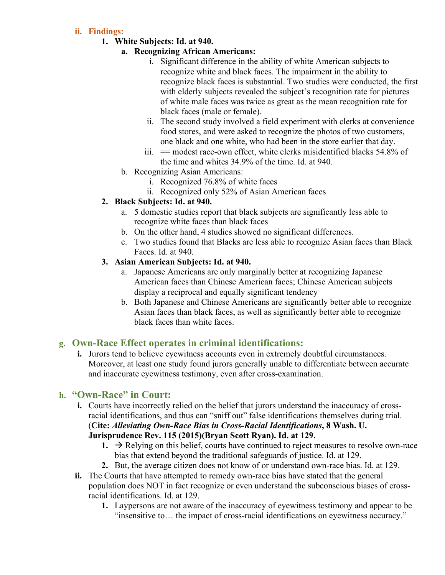#### **ii. Findings:**

- **1. White Subjects: Id. at 940.** 
	- **a. Recognizing African Americans:** 
		- i. Significant difference in the ability of white American subjects to recognize white and black faces. The impairment in the ability to recognize black faces is substantial. Two studies were conducted, the first with elderly subjects revealed the subject's recognition rate for pictures of white male faces was twice as great as the mean recognition rate for black faces (male or female).
		- ii. The second study involved a field experiment with clerks at convenience food stores, and were asked to recognize the photos of two customers, one black and one white, who had been in the store earlier that day.
		- $iii. =$  modest race-own effect, white clerks misidentified blacks 54.8% of the time and whites 34.9% of the time. Id. at 940.
	- b. Recognizing Asian Americans:
		- i. Recognized 76.8% of white faces
		- ii. Recognized only 52% of Asian American faces

#### **2. Black Subjects: Id. at 940.**

- a. 5 domestic studies report that black subjects are significantly less able to recognize white faces than black faces
- b. On the other hand, 4 studies showed no significant differences.
- c. Two studies found that Blacks are less able to recognize Asian faces than Black Faces. Id. at 940.

#### **3. Asian American Subjects: Id. at 940.**

- a. Japanese Americans are only marginally better at recognizing Japanese American faces than Chinese American faces; Chinese American subjects display a reciprocal and equally significant tendency
- b. Both Japanese and Chinese Americans are significantly better able to recognize Asian faces than black faces, as well as significantly better able to recognize black faces than white faces.

### **g. Own-Race Effect operates in criminal identifications:**

**i.** Jurors tend to believe eyewitness accounts even in extremely doubtful circumstances. Moreover, at least one study found jurors generally unable to differentiate between accurate and inaccurate eyewitness testimony, even after cross-examination.

### **h. "Own-Race" in Court:**

- **i.** Courts have incorrectly relied on the belief that jurors understand the inaccuracy of crossracial identifications, and thus can "sniff out" false identifications themselves during trial. (**Cite:** *Alleviating Own-Race Bias in Cross-Racial Identifications***, 8 Wash. U. Jurisprudence Rev. 115 (2015)(Bryan Scott Ryan). Id. at 129.** 
	- **1.**  $\rightarrow$  Relying on this belief, courts have continued to reject measures to resolve own-race bias that extend beyond the traditional safeguards of justice. Id. at 129.
	- **2.** But, the average citizen does not know of or understand own-race bias. Id. at 129.
- **ii.** The Courts that have attempted to remedy own-race bias have stated that the general population does NOT in fact recognize or even understand the subconscious biases of crossracial identifications. Id. at 129.
	- **1.** Laypersons are not aware of the inaccuracy of eyewitness testimony and appear to be "insensitive to… the impact of cross-racial identifications on eyewitness accuracy."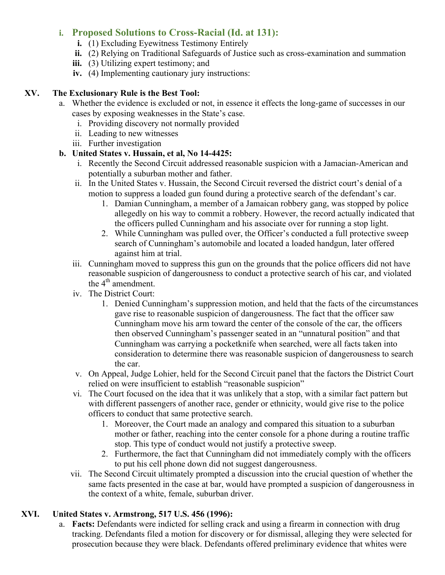### **i. Proposed Solutions to Cross-Racial (Id. at 131):**

- **i.** (1) Excluding Eyewitness Testimony Entirely
- **ii.** (2) Relying on Traditional Safeguards of Justice such as cross-examination and summation
- **iii.** (3) Utilizing expert testimony; and
- **iv.** (4) Implementing cautionary jury instructions:

#### **XV. The Exclusionary Rule is the Best Tool:**

- a. Whether the evidence is excluded or not, in essence it effects the long-game of successes in our cases by exposing weaknesses in the State's case.
	- i. Providing discovery not normally provided
	- ii. Leading to new witnesses
	- iii. Further investigation

#### **b. United States v. Hussain, et al, No 14-4425:**

- i. Recently the Second Circuit addressed reasonable suspicion with a Jamacian-American and potentially a suburban mother and father.
- ii. In the United States v. Hussain, the Second Circuit reversed the district court's denial of a motion to suppress a loaded gun found during a protective search of the defendant's car.
	- 1. Damian Cunningham, a member of a Jamaican robbery gang, was stopped by police allegedly on his way to commit a robbery. However, the record actually indicated that the officers pulled Cunningham and his associate over for running a stop light.
	- 2. While Cunningham was pulled over, the Officer's conducted a full protective sweep search of Cunningham's automobile and located a loaded handgun, later offered against him at trial.
- iii. Cunningham moved to suppress this gun on the grounds that the police officers did not have reasonable suspicion of dangerousness to conduct a protective search of his car, and violated the  $4<sup>th</sup>$  amendment.
- iv. The District Court:
	- 1. Denied Cunningham's suppression motion, and held that the facts of the circumstances gave rise to reasonable suspicion of dangerousness. The fact that the officer saw Cunningham move his arm toward the center of the console of the car, the officers then observed Cunningham's passenger seated in an "unnatural position" and that Cunningham was carrying a pocketknife when searched, were all facts taken into consideration to determine there was reasonable suspicion of dangerousness to search the car.
- v. On Appeal, Judge Lohier, held for the Second Circuit panel that the factors the District Court relied on were insufficient to establish "reasonable suspicion"
- vi. The Court focused on the idea that it was unlikely that a stop, with a similar fact pattern but with different passengers of another race, gender or ethnicity, would give rise to the police officers to conduct that same protective search.
	- 1. Moreover, the Court made an analogy and compared this situation to a suburban mother or father, reaching into the center console for a phone during a routine traffic stop. This type of conduct would not justify a protective sweep.
	- 2. Furthermore, the fact that Cunningham did not immediately comply with the officers to put his cell phone down did not suggest dangerousness.
- vii. The Second Circuit ultimately prompted a discussion into the crucial question of whether the same facts presented in the case at bar, would have prompted a suspicion of dangerousness in the context of a white, female, suburban driver.

### **XVI. United States v. Armstrong, 517 U.S. 456 (1996):**

a. **Facts:** Defendants were indicted for selling crack and using a firearm in connection with drug tracking. Defendants filed a motion for discovery or for dismissal, alleging they were selected for prosecution because they were black. Defendants offered preliminary evidence that whites were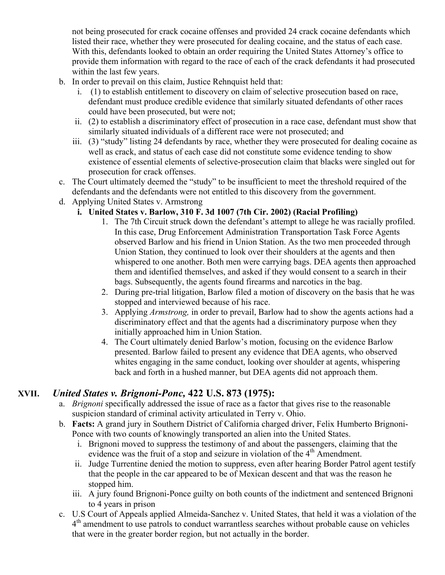not being prosecuted for crack cocaine offenses and provided 24 crack cocaine defendants which listed their race, whether they were prosecuted for dealing cocaine, and the status of each case. With this, defendants looked to obtain an order requiring the United States Attorney's office to provide them information with regard to the race of each of the crack defendants it had prosecuted within the last few years.

- b. In order to prevail on this claim, Justice Rehnquist held that:
	- i. (1) to establish entitlement to discovery on claim of selective prosecution based on race, defendant must produce credible evidence that similarly situated defendants of other races could have been prosecuted, but were not;
	- ii. (2) to establish a discriminatory effect of prosecution in a race case, defendant must show that similarly situated individuals of a different race were not prosecuted; and
	- iii. (3) "study" listing 24 defendants by race, whether they were prosecuted for dealing cocaine as well as crack, and status of each case did not constitute some evidence tending to show existence of essential elements of selective-prosecution claim that blacks were singled out for prosecution for crack offenses.
- c. The Court ultimately deemed the "study" to be insufficient to meet the threshold required of the defendants and the defendants were not entitled to this discovery from the government.
- d. Applying United States v. Armstrong

### **i. United States v. Barlow, 310 F. 3d 1007 (7th Cir. 2002) (Racial Profiling)**

- 1. The 7th Circuit struck down the defendant's attempt to allege he was racially profiled. In this case, Drug Enforcement Administration Transportation Task Force Agents observed Barlow and his friend in Union Station. As the two men proceeded through Union Station, they continued to look over their shoulders at the agents and then whispered to one another. Both men were carrying bags. DEA agents then approached them and identified themselves, and asked if they would consent to a search in their bags. Subsequently, the agents found firearms and narcotics in the bag.
- 2. During pre-trial litigation, Barlow filed a motion of discovery on the basis that he was stopped and interviewed because of his race.
- 3. Applying *Armstrong,* in order to prevail, Barlow had to show the agents actions had a discriminatory effect and that the agents had a discriminatory purpose when they initially approached him in Union Station.
- 4. The Court ultimately denied Barlow's motion, focusing on the evidence Barlow presented. Barlow failed to present any evidence that DEA agents, who observed whites engaging in the same conduct, looking over shoulder at agents, whispering back and forth in a hushed manner, but DEA agents did not approach them.

### **XVII.** *United States v. Brignoni-Ponc,* **422 U.S. 873 (1975):**

- a. *Brignoni* specifically addressed the issue of race as a factor that gives rise to the reasonable suspicion standard of criminal activity articulated in Terry v. Ohio.
- b. **Facts:** A grand jury in Southern District of California charged driver, Felix Humberto Brignoni-Ponce with two counts of knowingly transported an alien into the United States.
	- i. Brignoni moved to suppress the testimony of and about the passengers, claiming that the evidence was the fruit of a stop and seizure in violation of the 4<sup>th</sup> Amendment.
	- ii. Judge Turrentine denied the motion to suppress, even after hearing Border Patrol agent testify that the people in the car appeared to be of Mexican descent and that was the reason he stopped him.
	- iii. A jury found Brignoni-Ponce guilty on both counts of the indictment and sentenced Brignoni to 4 years in prison
- c. U.S Court of Appeals applied Almeida-Sanchez v. United States, that held it was a violation of the  $4<sup>th</sup>$  amendment to use patrols to conduct warrantless searches without probable cause on vehicles that were in the greater border region, but not actually in the border.